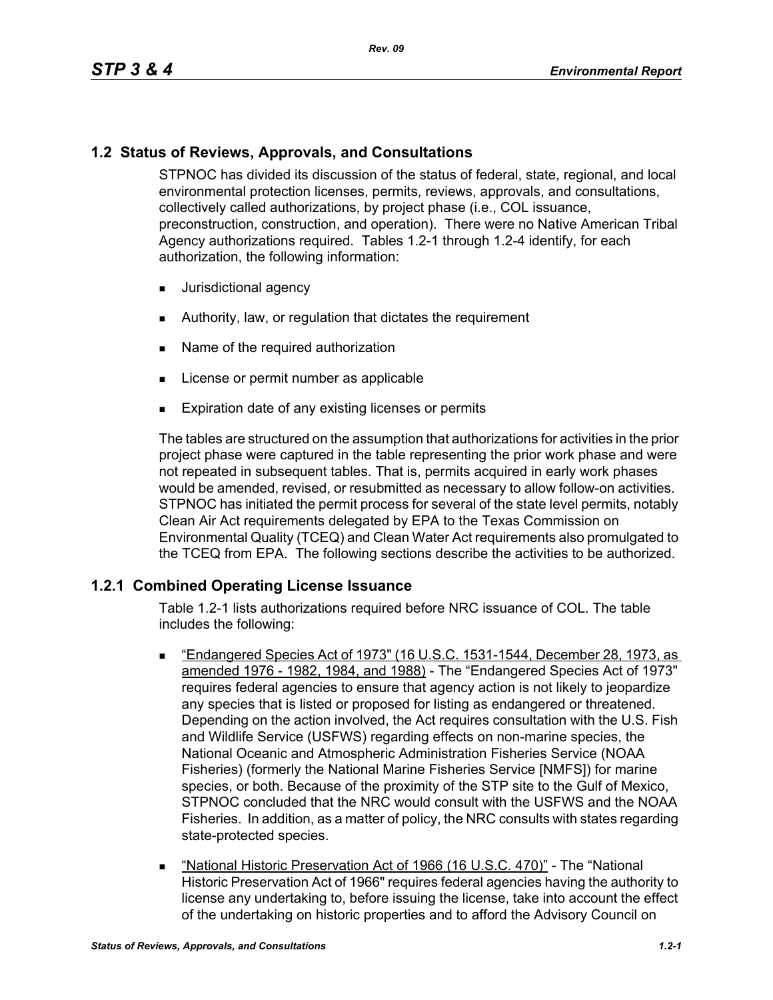## **1.2 Status of Reviews, Approvals, and Consultations**

STPNOC has divided its discussion of the status of federal, state, regional, and local environmental protection licenses, permits, reviews, approvals, and consultations, collectively called authorizations, by project phase (i.e., COL issuance, preconstruction, construction, and operation). There were no Native American Tribal Agency authorizations required. Tables 1.2-1 through 1.2-4 identify, for each authorization, the following information:

- **Jurisdictional agency**
- Authority, law, or regulation that dictates the requirement
- Name of the required authorization
- **License or permit number as applicable**
- **Expiration date of any existing licenses or permits**

The tables are structured on the assumption that authorizations for activities in the prior project phase were captured in the table representing the prior work phase and were not repeated in subsequent tables. That is, permits acquired in early work phases would be amended, revised, or resubmitted as necessary to allow follow-on activities. STPNOC has initiated the permit process for several of the state level permits, notably Clean Air Act requirements delegated by EPA to the Texas Commission on Environmental Quality (TCEQ) and Clean Water Act requirements also promulgated to the TCEQ from EPA. The following sections describe the activities to be authorized.

### **1.2.1 Combined Operating License Issuance**

Table 1.2-1 lists authorizations required before NRC issuance of COL. The table includes the following:

- "Endangered Species Act of 1973" (16 U.S.C. 1531-1544, December 28, 1973, as amended 1976 - 1982, 1984, and 1988) - The "Endangered Species Act of 1973" requires federal agencies to ensure that agency action is not likely to jeopardize any species that is listed or proposed for listing as endangered or threatened. Depending on the action involved, the Act requires consultation with the U.S. Fish and Wildlife Service (USFWS) regarding effects on non-marine species, the National Oceanic and Atmospheric Administration Fisheries Service (NOAA Fisheries) (formerly the National Marine Fisheries Service [NMFS]) for marine species, or both. Because of the proximity of the STP site to the Gulf of Mexico, STPNOC concluded that the NRC would consult with the USFWS and the NOAA Fisheries. In addition, as a matter of policy, the NRC consults with states regarding state-protected species.
- "National Historic Preservation Act of 1966 (16 U.S.C. 470)" The "National Historic Preservation Act of 1966" requires federal agencies having the authority to license any undertaking to, before issuing the license, take into account the effect of the undertaking on historic properties and to afford the Advisory Council on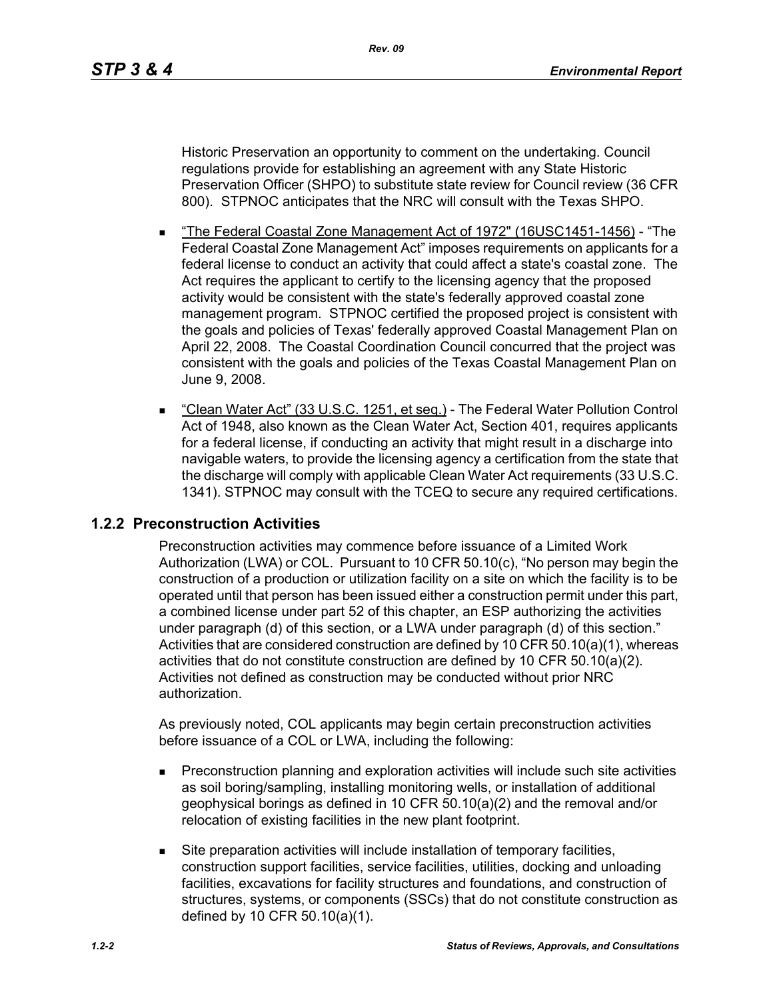Historic Preservation an opportunity to comment on the undertaking. Council regulations provide for establishing an agreement with any State Historic Preservation Officer (SHPO) to substitute state review for Council review (36 CFR 800). STPNOC anticipates that the NRC will consult with the Texas SHPO.

- The Federal Coastal Zone Management Act of 1972" (16USC1451-1456) "The Federal Coastal Zone Management Act" imposes requirements on applicants for a federal license to conduct an activity that could affect a state's coastal zone. The Act requires the applicant to certify to the licensing agency that the proposed activity would be consistent with the state's federally approved coastal zone management program. STPNOC certified the proposed project is consistent with the goals and policies of Texas' federally approved Coastal Management Plan on April 22, 2008. The Coastal Coordination Council concurred that the project was consistent with the goals and policies of the Texas Coastal Management Plan on June 9, 2008.
- "Clean Water Act" (33 U.S.C. 1251, et seg.) The Federal Water Pollution Control Act of 1948, also known as the Clean Water Act, Section 401, requires applicants for a federal license, if conducting an activity that might result in a discharge into navigable waters, to provide the licensing agency a certification from the state that the discharge will comply with applicable Clean Water Act requirements (33 U.S.C. 1341). STPNOC may consult with the TCEQ to secure any required certifications.

## **1.2.2 Preconstruction Activities**

Preconstruction activities may commence before issuance of a Limited Work Authorization (LWA) or COL. Pursuant to 10 CFR 50.10(c), "No person may begin the construction of a production or utilization facility on a site on which the facility is to be operated until that person has been issued either a construction permit under this part, a combined license under part 52 of this chapter, an ESP authorizing the activities under paragraph (d) of this section, or a LWA under paragraph (d) of this section." Activities that are considered construction are defined by 10 CFR 50.10(a)(1), whereas activities that do not constitute construction are defined by 10 CFR 50.10(a)(2). Activities not defined as construction may be conducted without prior NRC authorization.

As previously noted, COL applicants may begin certain preconstruction activities before issuance of a COL or LWA, including the following:

- **Preconstruction planning and exploration activities will include such site activities** as soil boring/sampling, installing monitoring wells, or installation of additional geophysical borings as defined in 10 CFR 50.10(a)(2) and the removal and/or relocation of existing facilities in the new plant footprint.
- Site preparation activities will include installation of temporary facilities, construction support facilities, service facilities, utilities, docking and unloading facilities, excavations for facility structures and foundations, and construction of structures, systems, or components (SSCs) that do not constitute construction as defined by 10 CFR 50.10(a)(1).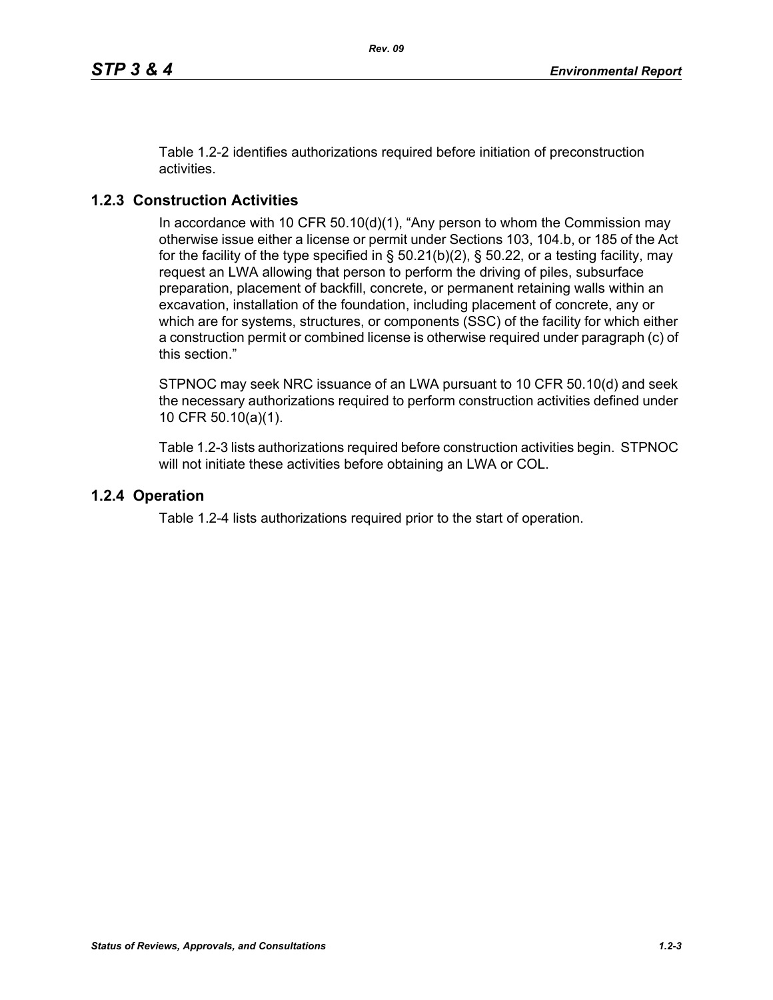Table 1.2-2 identifies authorizations required before initiation of preconstruction activities.

# **1.2.3 Construction Activities**

In accordance with 10 CFR 50.10(d)(1), "Any person to whom the Commission may otherwise issue either a license or permit under Sections 103, 104.b, or 185 of the Act for the facility of the type specified in  $\S$  50.21(b)(2),  $\S$  50.22, or a testing facility, may request an LWA allowing that person to perform the driving of piles, subsurface preparation, placement of backfill, concrete, or permanent retaining walls within an excavation, installation of the foundation, including placement of concrete, any or which are for systems, structures, or components (SSC) of the facility for which either a construction permit or combined license is otherwise required under paragraph (c) of this section."

STPNOC may seek NRC issuance of an LWA pursuant to 10 CFR 50.10(d) and seek the necessary authorizations required to perform construction activities defined under 10 CFR 50.10(a)(1).

Table 1.2-3 lists authorizations required before construction activities begin. STPNOC will not initiate these activities before obtaining an LWA or COL.

### **1.2.4 Operation**

Table 1.2-4 lists authorizations required prior to the start of operation.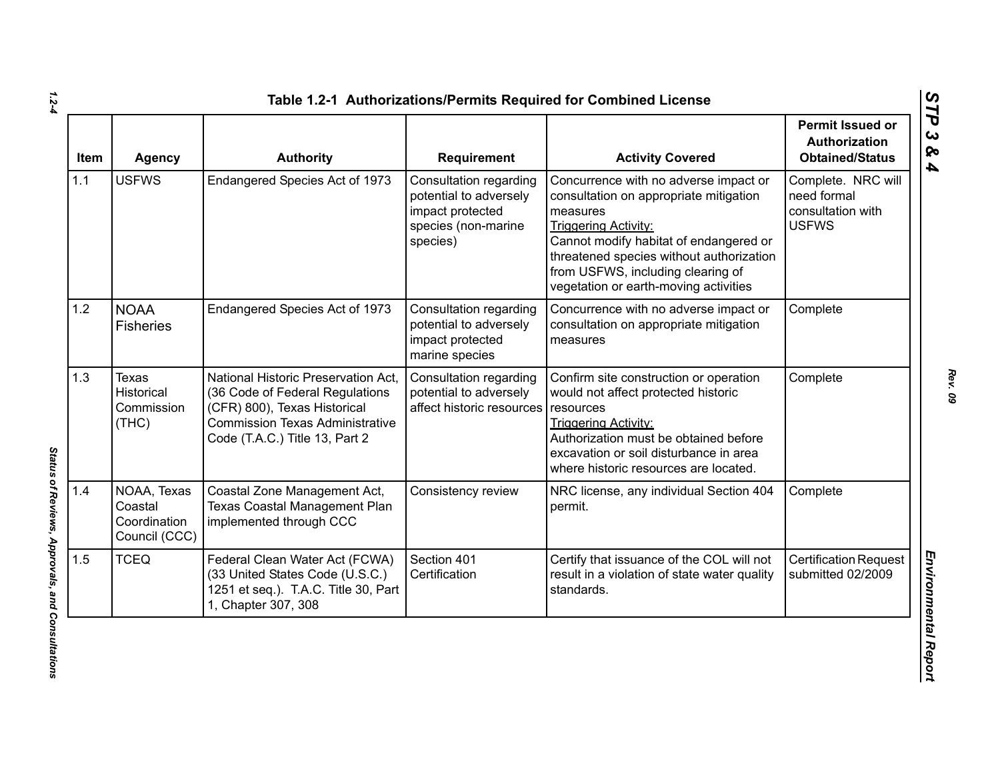| <b>Item</b> | <b>Agency</b>                                           | <b>Authority</b>                                                                                                                                                                   | <b>Requirement</b>                                                                                      | <b>Activity Covered</b>                                                                                                                                                                                                                                                                        | <b>Permit Issued or</b><br>Authorization<br><b>Obtained/Status</b>     |
|-------------|---------------------------------------------------------|------------------------------------------------------------------------------------------------------------------------------------------------------------------------------------|---------------------------------------------------------------------------------------------------------|------------------------------------------------------------------------------------------------------------------------------------------------------------------------------------------------------------------------------------------------------------------------------------------------|------------------------------------------------------------------------|
| 1.1         | <b>USFWS</b>                                            | Endangered Species Act of 1973                                                                                                                                                     | Consultation regarding<br>potential to adversely<br>impact protected<br>species (non-marine<br>species) | Concurrence with no adverse impact or<br>consultation on appropriate mitigation<br>measures<br><b>Triggering Activity:</b><br>Cannot modify habitat of endangered or<br>threatened species without authorization<br>from USFWS, including clearing of<br>vegetation or earth-moving activities | Complete. NRC will<br>need formal<br>consultation with<br><b>USFWS</b> |
| 1.2         | <b>NOAA</b><br><b>Fisheries</b>                         | Endangered Species Act of 1973                                                                                                                                                     | Consultation regarding<br>potential to adversely<br>impact protected<br>marine species                  | Concurrence with no adverse impact or<br>consultation on appropriate mitigation<br>measures                                                                                                                                                                                                    | Complete                                                               |
| 1.3         | <b>Texas</b><br>Historical<br>Commission<br>(THC)       | National Historic Preservation Act,<br>(36 Code of Federal Regulations<br>(CFR) 800), Texas Historical<br><b>Commission Texas Administrative</b><br>Code (T.A.C.) Title 13, Part 2 | Consultation regarding<br>potential to adversely<br>affect historic resources                           | Confirm site construction or operation<br>would not affect protected historic<br>resources<br><b>Triggering Activity:</b><br>Authorization must be obtained before<br>excavation or soil disturbance in area<br>where historic resources are located.                                          | Complete                                                               |
| 1.4         | NOAA, Texas<br>Coastal<br>Coordination<br>Council (CCC) | Coastal Zone Management Act,<br>Texas Coastal Management Plan<br>implemented through CCC                                                                                           | Consistency review                                                                                      | NRC license, any individual Section 404<br>permit.                                                                                                                                                                                                                                             | Complete                                                               |
| 1.5         | <b>TCEQ</b>                                             | Federal Clean Water Act (FCWA)<br>(33 United States Code (U.S.C.)<br>1251 et seq.). T.A.C. Title 30, Part<br>1, Chapter 307, 308                                                   | Section 401<br>Certification                                                                            | Certify that issuance of the COL will not<br>result in a violation of state water quality<br>standards.                                                                                                                                                                                        | <b>Certification Request</b><br>submitted 02/2009                      |

*1.2-4*

Status of Reviews, Approvals, and Consultations *Status of Reviews, Approvals, and Consultations*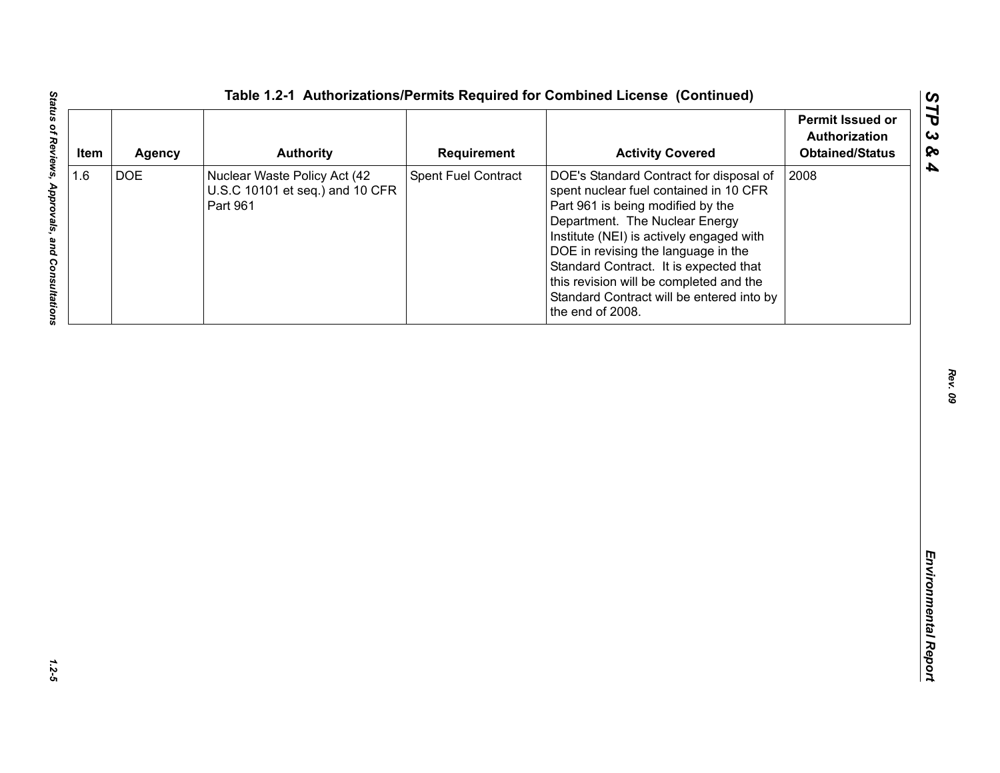| <b>DOE</b><br>Spent Fuel Contract<br>2008<br>Nuclear Waste Policy Act (42<br>DOE's Standard Contract for disposal of<br>U.S.C 10101 et seq.) and 10 CFR<br>spent nuclear fuel contained in 10 CFR<br>Part 961<br>Part 961 is being modified by the<br>Department. The Nuclear Energy<br>Institute (NEI) is actively engaged with | 1.6<br>DOE in revising the language in the |
|----------------------------------------------------------------------------------------------------------------------------------------------------------------------------------------------------------------------------------------------------------------------------------------------------------------------------------|--------------------------------------------|
| Standard Contract. It is expected that<br>this revision will be completed and the<br>Standard Contract will be entered into by<br>the end of 2008.                                                                                                                                                                               |                                            |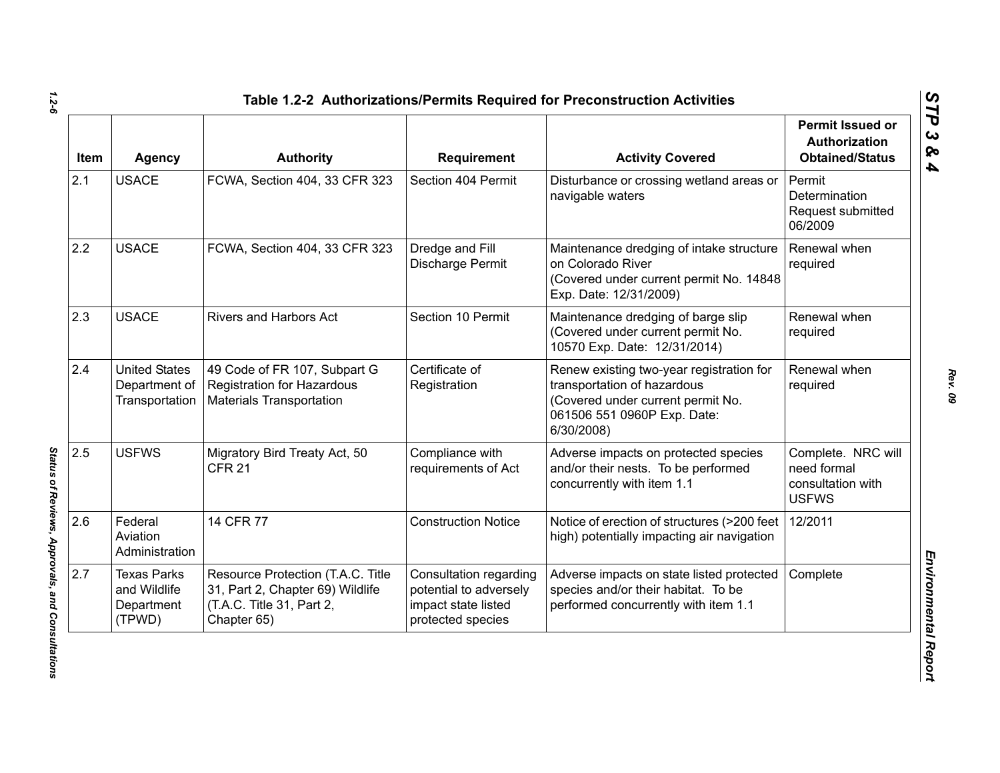| Item | Agency                                                     | <b>Authority</b>                                                                                                  | <b>Requirement</b>                                                                           | <b>Activity Covered</b>                                                                                                                                   | <b>Permit Issued or</b><br>Authorization<br><b>Obtained/Status</b>     |
|------|------------------------------------------------------------|-------------------------------------------------------------------------------------------------------------------|----------------------------------------------------------------------------------------------|-----------------------------------------------------------------------------------------------------------------------------------------------------------|------------------------------------------------------------------------|
| 2.1  | <b>USACE</b>                                               | FCWA, Section 404, 33 CFR 323                                                                                     | Section 404 Permit                                                                           | Disturbance or crossing wetland areas or<br>navigable waters                                                                                              | Permit<br>Determination<br>Request submitted<br>06/2009                |
| 2.2  | <b>USACE</b>                                               | FCWA, Section 404, 33 CFR 323                                                                                     | Dredge and Fill<br>Discharge Permit                                                          | Maintenance dredging of intake structure<br>on Colorado River<br>(Covered under current permit No. 14848<br>Exp. Date: 12/31/2009)                        | Renewal when<br>required                                               |
| 2.3  | <b>USACE</b>                                               | Rivers and Harbors Act                                                                                            | Section 10 Permit                                                                            | Maintenance dredging of barge slip<br>(Covered under current permit No.<br>10570 Exp. Date: 12/31/2014)                                                   | Renewal when<br>required                                               |
| 2.4  | <b>United States</b><br>Department of<br>Transportation    | 49 Code of FR 107, Subpart G<br><b>Registration for Hazardous</b><br><b>Materials Transportation</b>              | Certificate of<br>Registration                                                               | Renew existing two-year registration for<br>transportation of hazardous<br>(Covered under current permit No.<br>061506 551 0960P Exp. Date:<br>6/30/2008) | Renewal when<br>required                                               |
| 2.5  | <b>USFWS</b>                                               | Migratory Bird Treaty Act, 50<br><b>CFR 21</b>                                                                    | Compliance with<br>requirements of Act                                                       | Adverse impacts on protected species<br>and/or their nests. To be performed<br>concurrently with item 1.1                                                 | Complete. NRC will<br>need formal<br>consultation with<br><b>USFWS</b> |
| 2.6  | Federal<br>Aviation<br>Administration                      | 14 CFR 77                                                                                                         | <b>Construction Notice</b>                                                                   | Notice of erection of structures (>200 feet<br>high) potentially impacting air navigation                                                                 | 12/2011                                                                |
| 2.7  | <b>Texas Parks</b><br>and Wildlife<br>Department<br>(TPWD) | Resource Protection (T.A.C. Title<br>31, Part 2, Chapter 69) Wildlife<br>(T.A.C. Title 31, Part 2,<br>Chapter 65) | Consultation regarding<br>potential to adversely<br>impact state listed<br>protected species | Adverse impacts on state listed protected<br>species and/or their habitat. To be<br>performed concurrently with item 1.1                                  | Complete                                                               |

*1.2-6*

Status of Reviews, Approvals, and Consultations *Status of Reviews, Approvals, and Consultations*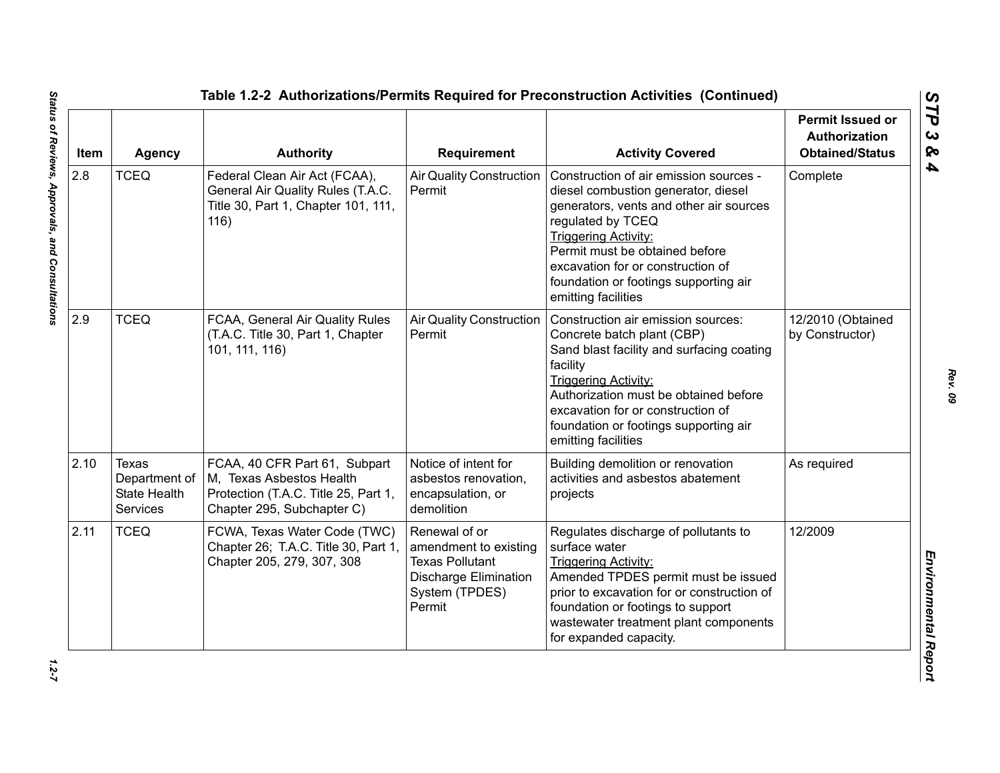| Item | <b>Agency</b>                                                    | <b>Authority</b>                                                                                                                | <b>Requirement</b>                                                                                                           | <b>Activity Covered</b>                                                                                                                                                                                                                                                                                             | <b>Permit Issued or</b><br><b>Authorization</b><br><b>Obtained/Status</b> |
|------|------------------------------------------------------------------|---------------------------------------------------------------------------------------------------------------------------------|------------------------------------------------------------------------------------------------------------------------------|---------------------------------------------------------------------------------------------------------------------------------------------------------------------------------------------------------------------------------------------------------------------------------------------------------------------|---------------------------------------------------------------------------|
| 2.8  | <b>TCEQ</b>                                                      | Federal Clean Air Act (FCAA),<br>General Air Quality Rules (T.A.C.<br>Title 30, Part 1, Chapter 101, 111,<br>116)               | <b>Air Quality Construction</b><br>Permit                                                                                    | Construction of air emission sources -<br>diesel combustion generator, diesel<br>generators, vents and other air sources<br>regulated by TCEQ<br><b>Triggering Activity:</b><br>Permit must be obtained before<br>excavation for or construction of<br>foundation or footings supporting air<br>emitting facilities | Complete                                                                  |
| 2.9  | <b>TCEQ</b>                                                      | FCAA, General Air Quality Rules<br>(T.A.C. Title 30, Part 1, Chapter<br>101, 111, 116)                                          | <b>Air Quality Construction</b><br>Permit                                                                                    | Construction air emission sources:<br>Concrete batch plant (CBP)<br>Sand blast facility and surfacing coating<br>facility<br><b>Triggering Activity:</b><br>Authorization must be obtained before<br>excavation for or construction of<br>foundation or footings supporting air<br>emitting facilities              | 12/2010 (Obtained<br>by Constructor)                                      |
| 2.10 | Texas<br>Department of<br><b>State Health</b><br><b>Services</b> | FCAA, 40 CFR Part 61, Subpart<br>M, Texas Asbestos Health<br>Protection (T.A.C. Title 25, Part 1,<br>Chapter 295, Subchapter C) | Notice of intent for<br>asbestos renovation,<br>encapsulation, or<br>demolition                                              | Building demolition or renovation<br>activities and asbestos abatement<br>projects                                                                                                                                                                                                                                  | As required                                                               |
| 2.11 | <b>TCEQ</b>                                                      | FCWA, Texas Water Code (TWC)<br>Chapter 26; T.A.C. Title 30, Part 1,<br>Chapter 205, 279, 307, 308                              | Renewal of or<br>amendment to existing<br><b>Texas Pollutant</b><br><b>Discharge Elimination</b><br>System (TPDES)<br>Permit | Regulates discharge of pollutants to<br>surface water<br><b>Triggering Activity:</b><br>Amended TPDES permit must be issued<br>prior to excavation for or construction of<br>foundation or footings to support<br>wastewater treatment plant components<br>for expanded capacity.                                   | 12/2009                                                                   |

 $1.2 - 7$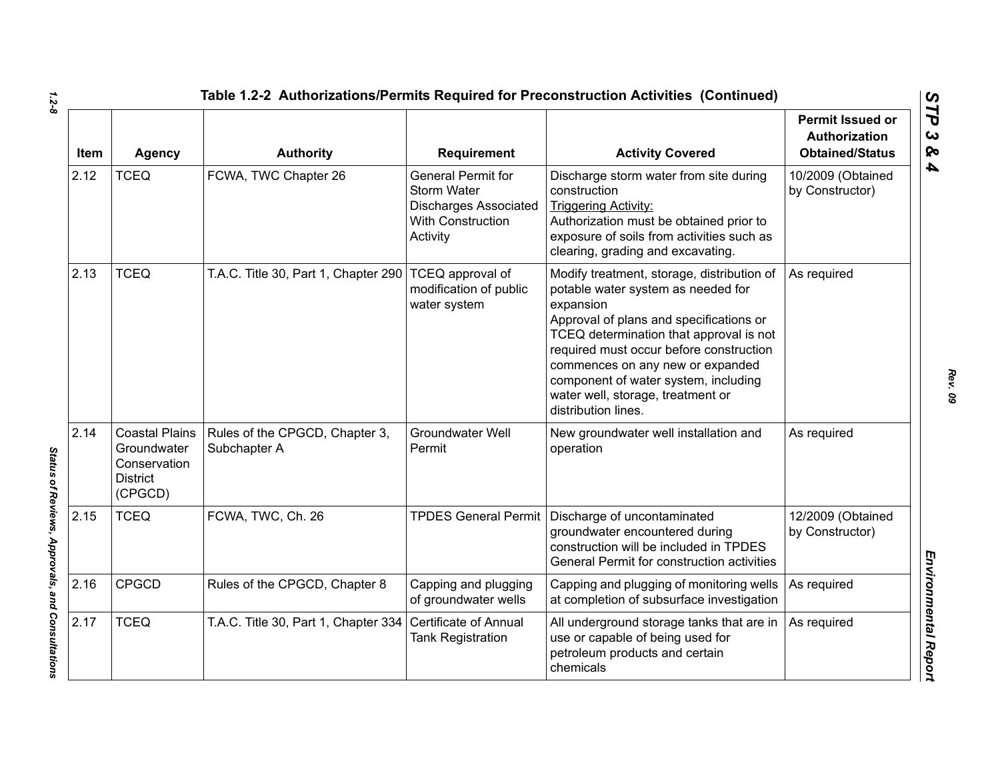| Item | <b>Agency</b>                                                                      | <b>Authority</b>                               | Requirement                                                                                                             | <b>Activity Covered</b>                                                                                                                                                                                                                                                                                                                                                | <b>Permit Issued or</b><br>Authorization<br><b>Obtained/Status</b> |
|------|------------------------------------------------------------------------------------|------------------------------------------------|-------------------------------------------------------------------------------------------------------------------------|------------------------------------------------------------------------------------------------------------------------------------------------------------------------------------------------------------------------------------------------------------------------------------------------------------------------------------------------------------------------|--------------------------------------------------------------------|
| 2.12 | <b>TCEQ</b>                                                                        | FCWA, TWC Chapter 26                           | <b>General Permit for</b><br><b>Storm Water</b><br><b>Discharges Associated</b><br><b>With Construction</b><br>Activity | Discharge storm water from site during<br>construction<br>Triggering Activity:<br>Authorization must be obtained prior to<br>exposure of soils from activities such as<br>clearing, grading and excavating.                                                                                                                                                            | 10/2009 (Obtained<br>by Constructor)                               |
| 2.13 | <b>TCEQ</b>                                                                        | T.A.C. Title 30, Part 1, Chapter 290           | <b>TCEQ</b> approval of<br>modification of public<br>water system                                                       | Modify treatment, storage, distribution of<br>potable water system as needed for<br>expansion<br>Approval of plans and specifications or<br>TCEQ determination that approval is not<br>required must occur before construction<br>commences on any new or expanded<br>component of water system, including<br>water well, storage, treatment or<br>distribution lines. | As required                                                        |
| 2.14 | <b>Coastal Plains</b><br>Groundwater<br>Conservation<br><b>District</b><br>(CPGCD) | Rules of the CPGCD, Chapter 3,<br>Subchapter A | Groundwater Well<br>Permit                                                                                              | New groundwater well installation and<br>operation                                                                                                                                                                                                                                                                                                                     | As required                                                        |
| 2.15 | <b>TCEQ</b>                                                                        | FCWA, TWC, Ch. 26                              |                                                                                                                         | TPDES General Permit   Discharge of uncontaminated<br>groundwater encountered during<br>construction will be included in TPDES<br>General Permit for construction activities                                                                                                                                                                                           | 12/2009 (Obtained<br>by Constructor)                               |
| 2.16 | <b>CPGCD</b>                                                                       | Rules of the CPGCD, Chapter 8                  | Capping and plugging<br>of groundwater wells                                                                            | Capping and plugging of monitoring wells<br>at completion of subsurface investigation                                                                                                                                                                                                                                                                                  | As required                                                        |
| 2.17 | <b>TCEQ</b>                                                                        | T.A.C. Title 30, Part 1, Chapter 334           | Certificate of Annual<br><b>Tank Registration</b>                                                                       | All underground storage tanks that are in<br>use or capable of being used for<br>petroleum products and certain<br>chemicals                                                                                                                                                                                                                                           | As required                                                        |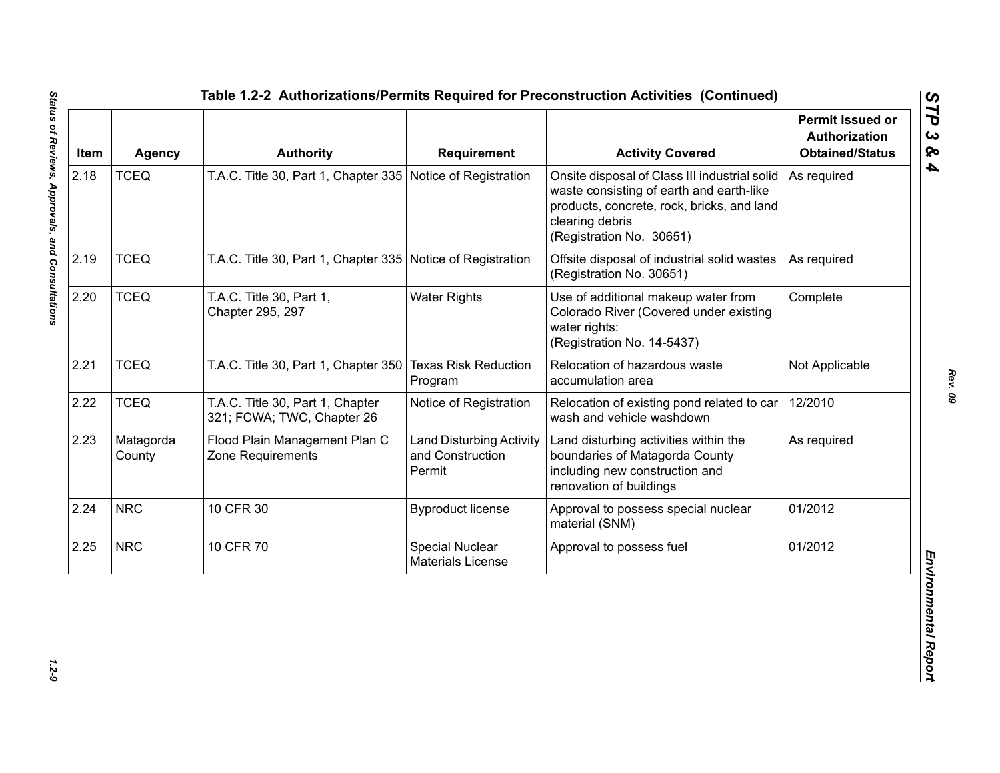| Item | <b>Agency</b>       | <b>Authority</b>                                               | <b>Requirement</b>                                            | <b>Activity Covered</b>                                                                                                                                                                | <b>Permit Issued or</b><br><b>Authorization</b><br><b>Obtained/Status</b> |
|------|---------------------|----------------------------------------------------------------|---------------------------------------------------------------|----------------------------------------------------------------------------------------------------------------------------------------------------------------------------------------|---------------------------------------------------------------------------|
| 2.18 | <b>TCEQ</b>         | T.A.C. Title 30, Part 1, Chapter 335 Notice of Registration    |                                                               | Onsite disposal of Class III industrial solid<br>waste consisting of earth and earth-like<br>products, concrete, rock, bricks, and land<br>clearing debris<br>(Registration No. 30651) | As required                                                               |
| 2.19 | <b>TCEQ</b>         | T.A.C. Title 30, Part 1, Chapter 335 Notice of Registration    |                                                               | Offsite disposal of industrial solid wastes<br>(Registration No. 30651)                                                                                                                | As required                                                               |
| 2.20 | <b>TCEQ</b>         | T.A.C. Title 30, Part 1,<br>Chapter 295, 297                   | <b>Water Rights</b>                                           | Use of additional makeup water from<br>Colorado River (Covered under existing<br>water rights:<br>(Registration No. 14-5437)                                                           | Complete                                                                  |
| 2.21 | <b>TCEQ</b>         | T.A.C. Title 30, Part 1, Chapter 350                           | <b>Texas Risk Reduction</b><br>Program                        | Relocation of hazardous waste<br>accumulation area                                                                                                                                     | Not Applicable                                                            |
| 2.22 | <b>TCEQ</b>         | T.A.C. Title 30, Part 1, Chapter<br>321; FCWA; TWC, Chapter 26 | Notice of Registration                                        | Relocation of existing pond related to car<br>wash and vehicle washdown                                                                                                                | 12/2010                                                                   |
| 2.23 | Matagorda<br>County | Flood Plain Management Plan C<br>Zone Requirements             | <b>Land Disturbing Activity</b><br>and Construction<br>Permit | Land disturbing activities within the<br>boundaries of Matagorda County<br>including new construction and<br>renovation of buildings                                                   | As required                                                               |
| 2.24 | <b>NRC</b>          | 10 CFR 30                                                      | <b>Byproduct license</b>                                      | Approval to possess special nuclear<br>material (SNM)                                                                                                                                  | 01/2012                                                                   |
| 2.25 | <b>NRC</b>          | 10 CFR 70                                                      | Special Nuclear<br><b>Materials License</b>                   | Approval to possess fuel                                                                                                                                                               | 01/2012                                                                   |

 $1.2 - 9$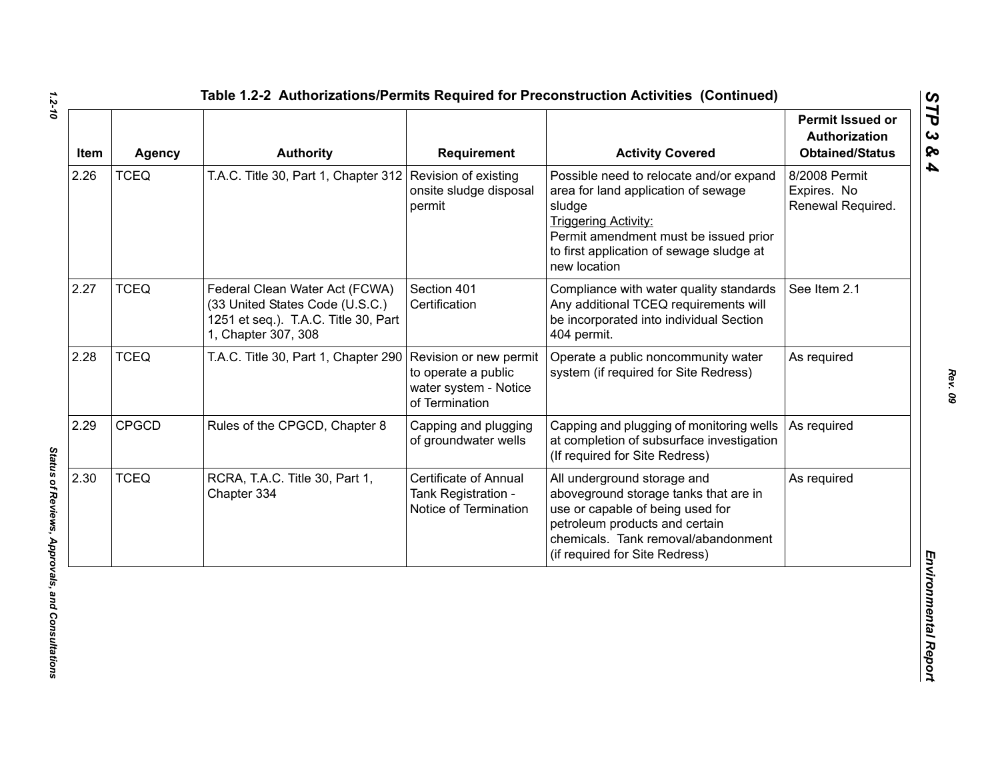| Item | <b>Agency</b> | <b>Authority</b>                                                                                                                 | <b>Requirement</b>                                                                       | <b>Activity Covered</b>                                                                                                                                                                                                      | <b>Permit Issued or</b><br><b>Authorization</b><br><b>Obtained/Status</b> |
|------|---------------|----------------------------------------------------------------------------------------------------------------------------------|------------------------------------------------------------------------------------------|------------------------------------------------------------------------------------------------------------------------------------------------------------------------------------------------------------------------------|---------------------------------------------------------------------------|
| 2.26 | <b>TCEQ</b>   | T.A.C. Title 30, Part 1, Chapter 312 Revision of existing                                                                        | onsite sludge disposal<br>permit                                                         | Possible need to relocate and/or expand<br>area for land application of sewage<br>sludge<br><b>Triggering Activity:</b><br>Permit amendment must be issued prior<br>to first application of sewage sludge at<br>new location | 8/2008 Permit<br>Expires. No<br>Renewal Required.                         |
| 2.27 | <b>TCEQ</b>   | Federal Clean Water Act (FCWA)<br>(33 United States Code (U.S.C.)<br>1251 et seq.). T.A.C. Title 30, Part<br>1, Chapter 307, 308 | Section 401<br>Certification                                                             | Compliance with water quality standards<br>Any additional TCEQ requirements will<br>be incorporated into individual Section<br>404 permit.                                                                                   | See Item 2.1                                                              |
| 2.28 | <b>TCEQ</b>   | T.A.C. Title 30, Part 1, Chapter 290                                                                                             | Revision or new permit<br>to operate a public<br>water system - Notice<br>of Termination | Operate a public noncommunity water<br>system (if required for Site Redress)                                                                                                                                                 | As required                                                               |
| 2.29 | <b>CPGCD</b>  | Rules of the CPGCD, Chapter 8                                                                                                    | Capping and plugging<br>of groundwater wells                                             | Capping and plugging of monitoring wells<br>at completion of subsurface investigation<br>(If required for Site Redress)                                                                                                      | As required                                                               |
| 2.30 | <b>TCEQ</b>   | RCRA, T.A.C. Title 30, Part 1,<br>Chapter 334                                                                                    | <b>Certificate of Annual</b><br>Tank Registration -<br>Notice of Termination             | All underground storage and<br>aboveground storage tanks that are in<br>use or capable of being used for<br>petroleum products and certain<br>chemicals. Tank removal/abandonment<br>(if required for Site Redress)          | As required                                                               |

*1.2-10*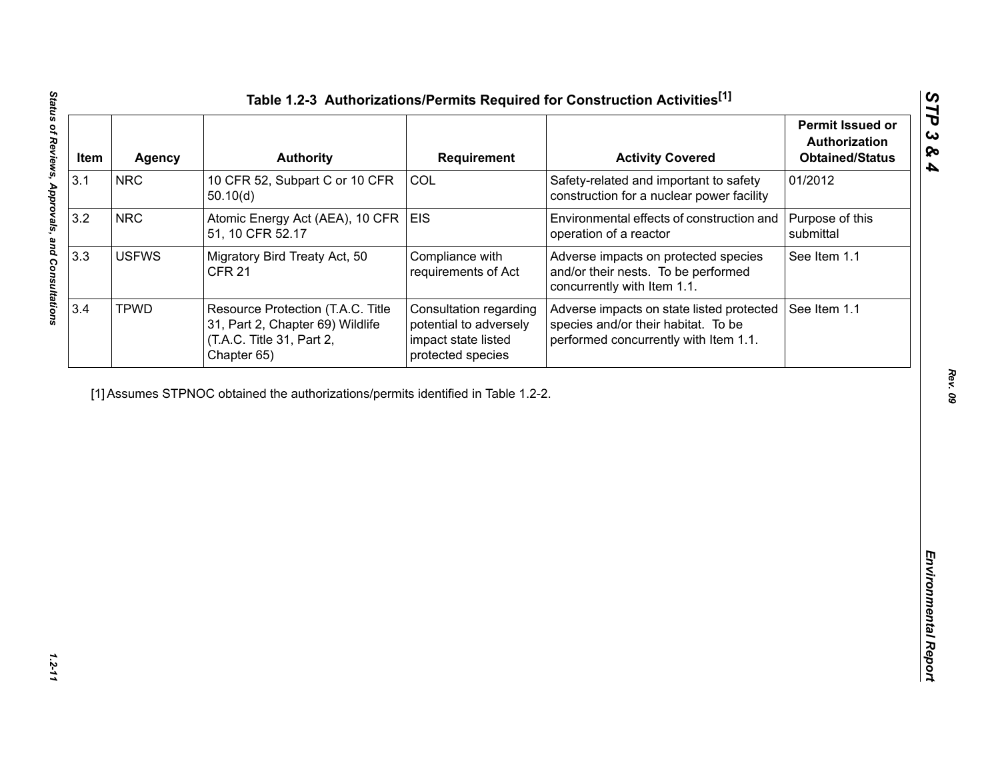| Item | <b>Agency</b> | <b>Authority</b>                                                                                                  | <b>Requirement</b>                                                                           | <b>Activity Covered</b>                                                                                                   | <b>Permit Issued or</b><br>Authorization<br><b>Obtained/Status</b> |
|------|---------------|-------------------------------------------------------------------------------------------------------------------|----------------------------------------------------------------------------------------------|---------------------------------------------------------------------------------------------------------------------------|--------------------------------------------------------------------|
| 3.1  | <b>NRC</b>    | 10 CFR 52, Subpart C or 10 CFR<br>50.10(d)                                                                        | COL                                                                                          | Safety-related and important to safety<br>construction for a nuclear power facility                                       | 01/2012                                                            |
| 3.2  | <b>NRC</b>    | Atomic Energy Act (AEA), 10 CFR<br>51, 10 CFR 52.17                                                               | <b>EIS</b>                                                                                   | Environmental effects of construction and<br>operation of a reactor                                                       | Purpose of this<br>submittal                                       |
| 3.3  | <b>USFWS</b>  | Migratory Bird Treaty Act, 50<br><b>CFR 21</b>                                                                    | Compliance with<br>requirements of Act                                                       | Adverse impacts on protected species<br>and/or their nests. To be performed<br>concurrently with Item 1.1.                | See Item 1.1                                                       |
| 3.4  | <b>TPWD</b>   | Resource Protection (T.A.C. Title<br>31, Part 2, Chapter 69) Wildlife<br>(T.A.C. Title 31, Part 2,<br>Chapter 65) | Consultation regarding<br>potential to adversely<br>impact state listed<br>protected species | Adverse impacts on state listed protected<br>species and/or their habitat. To be<br>performed concurrently with Item 1.1. | See Item 1.1                                                       |
|      |               | [1] Assumes STPNOC obtained the authorizations/permits identified in Table 1.2-2.                                 |                                                                                              |                                                                                                                           |                                                                    |
|      |               |                                                                                                                   |                                                                                              |                                                                                                                           |                                                                    |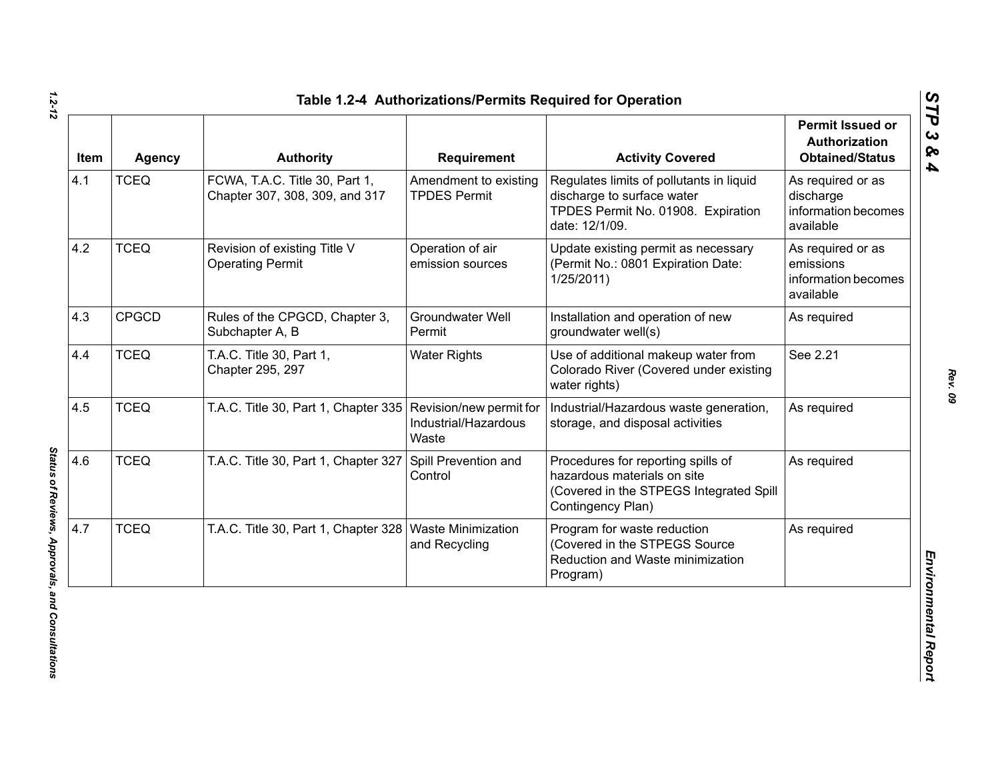| Item | <b>Agency</b> | <b>Authority</b>                                                 | <b>Requirement</b>                                       | <b>Activity Covered</b>                                                                                                           | <b>Permit Issued or</b><br><b>Authorization</b><br><b>Obtained/Status</b> |
|------|---------------|------------------------------------------------------------------|----------------------------------------------------------|-----------------------------------------------------------------------------------------------------------------------------------|---------------------------------------------------------------------------|
| 4.1  | <b>TCEQ</b>   | FCWA, T.A.C. Title 30, Part 1,<br>Chapter 307, 308, 309, and 317 | Amendment to existing<br><b>TPDES Permit</b>             | Regulates limits of pollutants in liquid<br>discharge to surface water<br>TPDES Permit No. 01908. Expiration<br>date: 12/1/09.    | As required or as<br>discharge<br>information becomes<br>available        |
| 4.2  | <b>TCEQ</b>   | Revision of existing Title V<br><b>Operating Permit</b>          | Operation of air<br>emission sources                     | Update existing permit as necessary<br>(Permit No.: 0801 Expiration Date:<br>1/25/2011                                            | As required or as<br>emissions<br>information becomes<br>available        |
| 4.3  | <b>CPGCD</b>  | Rules of the CPGCD, Chapter 3,<br>Subchapter A, B                | Groundwater Well<br>Permit                               | Installation and operation of new<br>groundwater well(s)                                                                          | As required                                                               |
| 4.4  | <b>TCEQ</b>   | T.A.C. Title 30, Part 1,<br>Chapter 295, 297                     | <b>Water Rights</b>                                      | Use of additional makeup water from<br>Colorado River (Covered under existing<br>water rights)                                    | See 2.21                                                                  |
| 4.5  | <b>TCEQ</b>   | T.A.C. Title 30, Part 1, Chapter 335                             | Revision/new permit for<br>Industrial/Hazardous<br>Waste | Industrial/Hazardous waste generation,<br>storage, and disposal activities                                                        | As required                                                               |
| 4.6  | <b>TCEQ</b>   | T.A.C. Title 30, Part 1, Chapter 327                             | Spill Prevention and<br>Control                          | Procedures for reporting spills of<br>hazardous materials on site<br>(Covered in the STPEGS Integrated Spill<br>Contingency Plan) | As required                                                               |
| 4.7  | <b>TCEQ</b>   | T.A.C. Title 30, Part 1, Chapter 328   Waste Minimization        | and Recycling                                            | Program for waste reduction<br>(Covered in the STPEGS Source<br>Reduction and Waste minimization<br>Program)                      | As required                                                               |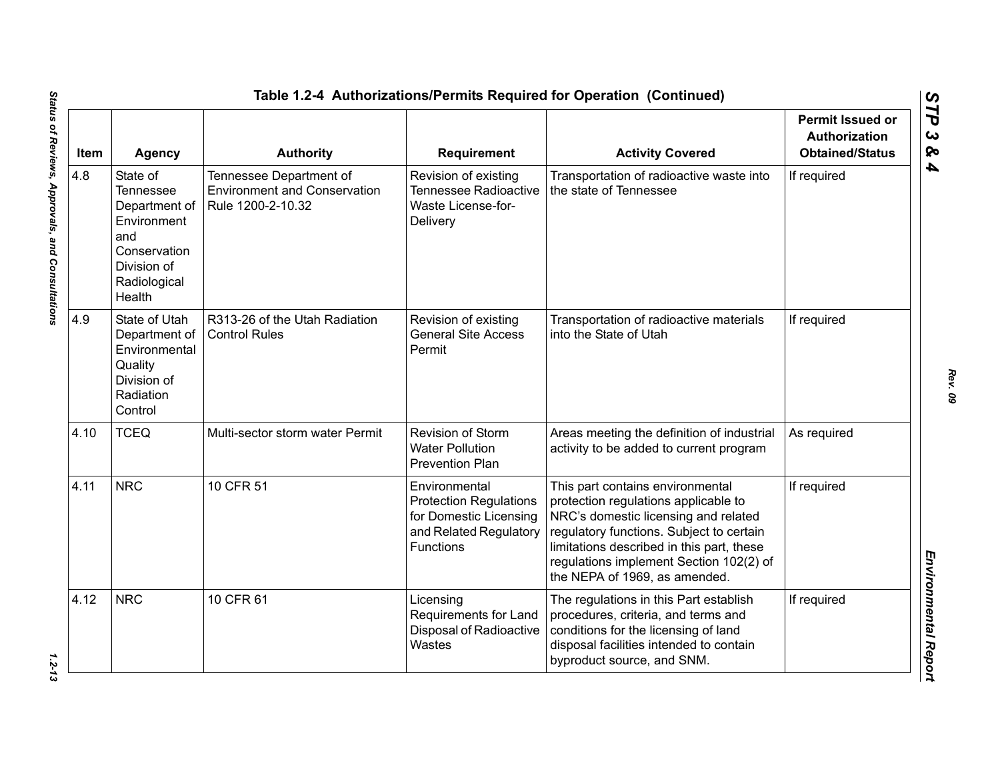| Item | <b>Agency</b>                                                                                                                | <b>Authority</b>                                                                    | <b>Requirement</b>                                                                                                     | <b>Activity Covered</b>                                                                                                                                                                                                                                                               | <b>Permit Issued or</b><br><b>Authorization</b><br><b>Obtained/Status</b> |
|------|------------------------------------------------------------------------------------------------------------------------------|-------------------------------------------------------------------------------------|------------------------------------------------------------------------------------------------------------------------|---------------------------------------------------------------------------------------------------------------------------------------------------------------------------------------------------------------------------------------------------------------------------------------|---------------------------------------------------------------------------|
| 4.8  | State of<br><b>Tennessee</b><br>Department of<br>Environment<br>and<br>Conservation<br>Division of<br>Radiological<br>Health | Tennessee Department of<br><b>Environment and Conservation</b><br>Rule 1200-2-10.32 | Revision of existing<br><b>Tennessee Radioactive</b><br>Waste License-for-<br>Delivery                                 | Transportation of radioactive waste into<br>the state of Tennessee                                                                                                                                                                                                                    | If required                                                               |
| 4.9  | State of Utah<br>Department of<br>Environmental<br>Quality<br>Division of<br>Radiation<br>Control                            | R313-26 of the Utah Radiation<br><b>Control Rules</b>                               | Revision of existing<br><b>General Site Access</b><br>Permit                                                           | Transportation of radioactive materials<br>into the State of Utah                                                                                                                                                                                                                     | If required                                                               |
| 4.10 | <b>TCEQ</b>                                                                                                                  | Multi-sector storm water Permit                                                     | Revision of Storm<br><b>Water Pollution</b><br><b>Prevention Plan</b>                                                  | Areas meeting the definition of industrial<br>activity to be added to current program                                                                                                                                                                                                 | As required                                                               |
| 4.11 | <b>NRC</b>                                                                                                                   | 10 CFR 51                                                                           | Environmental<br><b>Protection Regulations</b><br>for Domestic Licensing<br>and Related Regulatory<br><b>Functions</b> | This part contains environmental<br>protection regulations applicable to<br>NRC's domestic licensing and related<br>regulatory functions. Subject to certain<br>limitations described in this part, these<br>regulations implement Section 102(2) of<br>the NEPA of 1969, as amended. | If required                                                               |
| 4.12 | <b>NRC</b>                                                                                                                   | 10 CFR 61                                                                           | Licensing<br>Requirements for Land<br>Disposal of Radioactive<br>Wastes                                                | The regulations in this Part establish<br>procedures, criteria, and terms and<br>conditions for the licensing of land<br>disposal facilities intended to contain<br>byproduct source, and SNM.                                                                                        | If required                                                               |

 $1.2 - 13$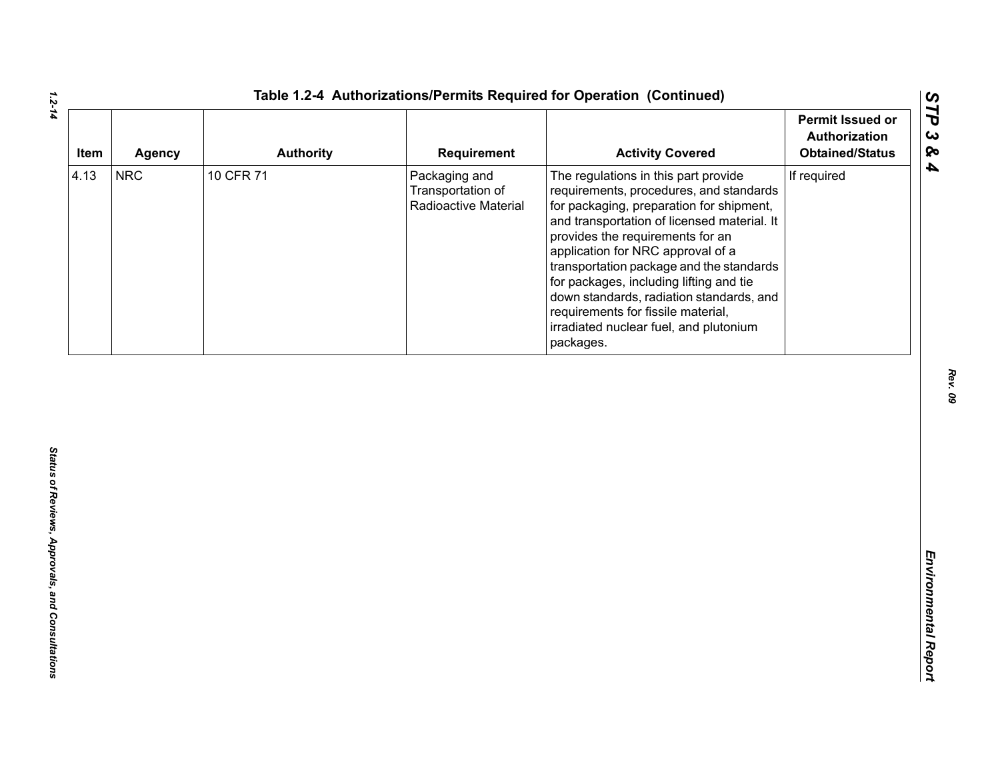| Item | <b>Agency</b> | <b>Authority</b> | Requirement                                                | <b>Activity Covered</b>                                                                                                                                                                                                                                                                                                                                                                                                                                                             | <b>Permit Issued or</b><br>Authorization<br><b>Obtained/Status</b> |
|------|---------------|------------------|------------------------------------------------------------|-------------------------------------------------------------------------------------------------------------------------------------------------------------------------------------------------------------------------------------------------------------------------------------------------------------------------------------------------------------------------------------------------------------------------------------------------------------------------------------|--------------------------------------------------------------------|
| 4.13 | <b>NRC</b>    | 10 CFR 71        | Packaging and<br>Transportation of<br>Radioactive Material | The regulations in this part provide<br>requirements, procedures, and standards<br>for packaging, preparation for shipment,<br>and transportation of licensed material. It<br>provides the requirements for an<br>application for NRC approval of a<br>transportation package and the standards<br>for packages, including lifting and tie<br>down standards, radiation standards, and<br>requirements for fissile material,<br>irradiated nuclear fuel, and plutonium<br>packages. | If required                                                        |
|      |               |                  |                                                            |                                                                                                                                                                                                                                                                                                                                                                                                                                                                                     |                                                                    |
|      |               |                  |                                                            |                                                                                                                                                                                                                                                                                                                                                                                                                                                                                     |                                                                    |